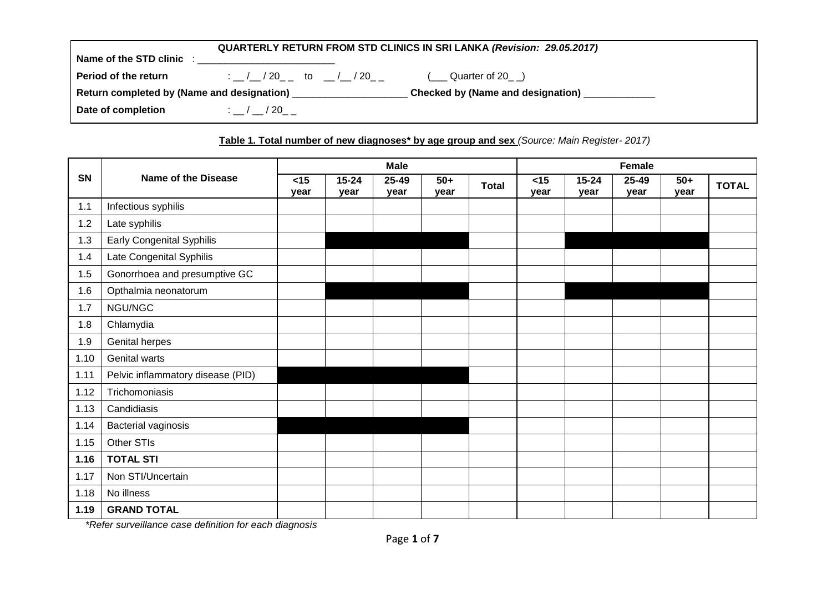| QUARTERLY RETURN FROM STD CLINICS IN SRI LANKA (Revision: 29.05.2017) |                                                                            |                                                 |  |  |  |  |
|-----------------------------------------------------------------------|----------------------------------------------------------------------------|-------------------------------------------------|--|--|--|--|
| Name of the STD clinic:                                               |                                                                            |                                                 |  |  |  |  |
| <b>Period of the return</b>                                           | : $\frac{1}{20}$ / 20 $\frac{1}{20}$ to $\frac{1}{20}$ / 20 $\frac{1}{20}$ | ( Quarter of 20 )                               |  |  |  |  |
|                                                                       | Return completed by (Name and designation) _________________               | Checked by (Name and designation) _____________ |  |  |  |  |
| Date of completion                                                    | $\therefore$ / / 20                                                        |                                                 |  |  |  |  |

# **Table 1. Total number of new diagnoses\* by age group and sex** *(Source: Main Register- 2017)*

|           |                                   |                |                   | <b>Male</b>   |               |              | <b>Female</b> |                   |               |               |              |
|-----------|-----------------------------------|----------------|-------------------|---------------|---------------|--------------|---------------|-------------------|---------------|---------------|--------------|
| <b>SN</b> | <b>Name of the Disease</b>        | $<$ 15<br>vear | $15 - 24$<br>year | 25-49<br>year | $50+$<br>year | <b>Total</b> | < 15<br>year  | $15 - 24$<br>year | 25-49<br>year | $50+$<br>year | <b>TOTAL</b> |
| 1.1       | Infectious syphilis               |                |                   |               |               |              |               |                   |               |               |              |
| 1.2       | Late syphilis                     |                |                   |               |               |              |               |                   |               |               |              |
| 1.3       | <b>Early Congenital Syphilis</b>  |                |                   |               |               |              |               |                   |               |               |              |
| 1.4       | Late Congenital Syphilis          |                |                   |               |               |              |               |                   |               |               |              |
| 1.5       | Gonorrhoea and presumptive GC     |                |                   |               |               |              |               |                   |               |               |              |
| 1.6       | Opthalmia neonatorum              |                |                   |               |               |              |               |                   |               |               |              |
| 1.7       | NGU/NGC                           |                |                   |               |               |              |               |                   |               |               |              |
| 1.8       | Chlamydia                         |                |                   |               |               |              |               |                   |               |               |              |
| 1.9       | Genital herpes                    |                |                   |               |               |              |               |                   |               |               |              |
| 1.10      | Genital warts                     |                |                   |               |               |              |               |                   |               |               |              |
| 1.11      | Pelvic inflammatory disease (PID) |                |                   |               |               |              |               |                   |               |               |              |
| 1.12      | Trichomoniasis                    |                |                   |               |               |              |               |                   |               |               |              |
| 1.13      | Candidiasis                       |                |                   |               |               |              |               |                   |               |               |              |
| 1.14      | <b>Bacterial vaginosis</b>        |                |                   |               |               |              |               |                   |               |               |              |
| 1.15      | Other STIs                        |                |                   |               |               |              |               |                   |               |               |              |
| 1.16      | <b>TOTAL STI</b>                  |                |                   |               |               |              |               |                   |               |               |              |
| 1.17      | Non STI/Uncertain                 |                |                   |               |               |              |               |                   |               |               |              |
| 1.18      | No illness                        |                |                   |               |               |              |               |                   |               |               |              |
| 1.19      | <b>GRAND TOTAL</b>                |                |                   |               |               |              |               |                   |               |               |              |

*\*Refer surveillance case definition for each diagnosis*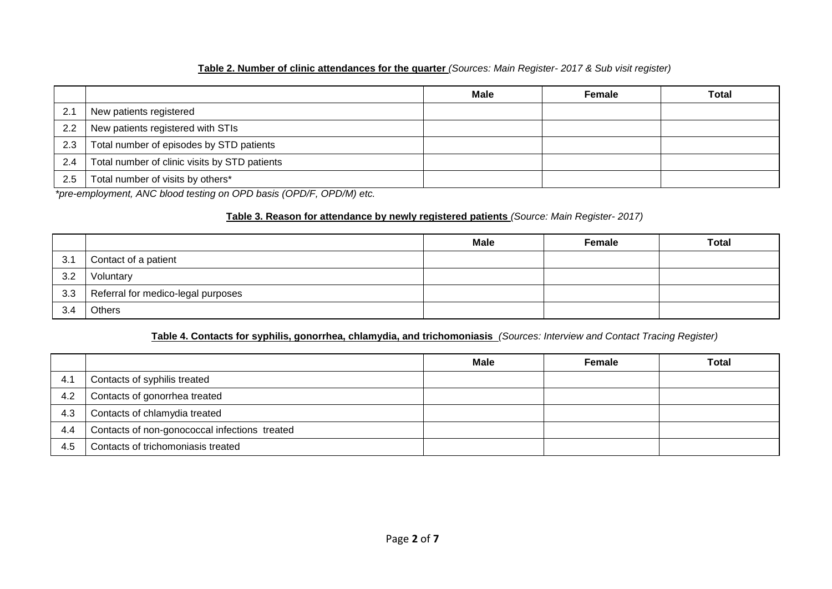# **Table 2. Number of clinic attendances for the quarter** *(Sources: Main Register- 2017 & Sub visit register)*

|     |                                               | <b>Male</b> | Female | <b>Total</b> |
|-----|-----------------------------------------------|-------------|--------|--------------|
| 2.1 | New patients registered                       |             |        |              |
| 2.2 | New patients registered with STIs             |             |        |              |
| 2.3 | Total number of episodes by STD patients      |             |        |              |
| 2.4 | Total number of clinic visits by STD patients |             |        |              |
| 2.5 | Total number of visits by others*             |             |        |              |

*\*pre-employment, ANC blood testing on OPD basis (OPD/F, OPD/M) etc.* 

### **Table 3. Reason for attendance by newly registered patients** *(Source: Main Register- 2017)*

|     |                                    | <b>Male</b> | Female | <b>Total</b> |
|-----|------------------------------------|-------------|--------|--------------|
| 3.1 | Contact of a patient               |             |        |              |
| 3.2 | Voluntary                          |             |        |              |
| 3.3 | Referral for medico-legal purposes |             |        |              |
| 3.4 | Others                             |             |        |              |

# **Table 4. Contacts for syphilis, gonorrhea, chlamydia, and trichomoniasis** *(Sources: Interview and Contact Tracing Register)*

|     |                                               | <b>Male</b> | Female | <b>Total</b> |
|-----|-----------------------------------------------|-------------|--------|--------------|
| 4.1 | Contacts of syphilis treated                  |             |        |              |
| 4.2 | Contacts of gonorrhea treated                 |             |        |              |
| 4.3 | Contacts of chlamydia treated                 |             |        |              |
| 4.4 | Contacts of non-gonococcal infections treated |             |        |              |
| 4.5 | Contacts of trichomoniasis treated            |             |        |              |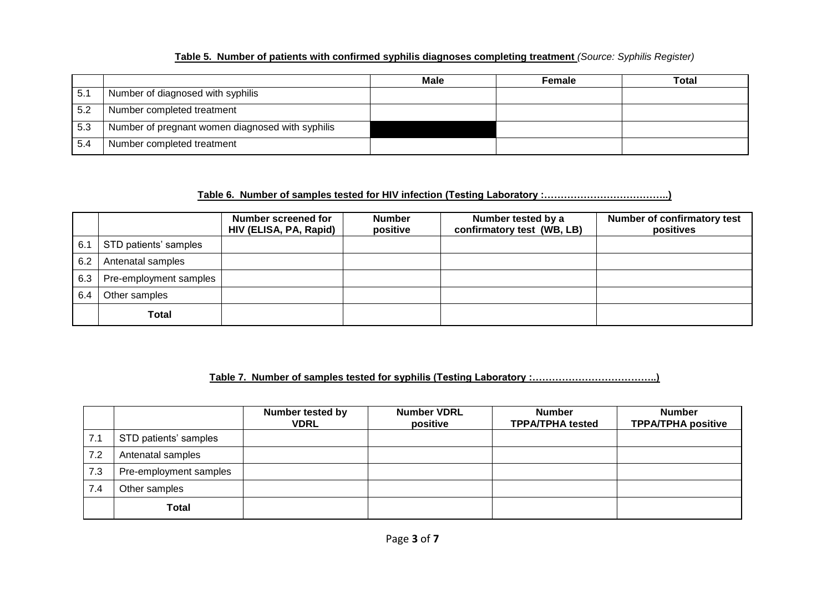# **Table 5. Number of patients with confirmed syphilis diagnoses completing treatment** *(Source: Syphilis Register)*

|     |                                                  | <b>Male</b> | Female | <b>Total</b> |
|-----|--------------------------------------------------|-------------|--------|--------------|
| 5.1 | Number of diagnosed with syphilis                |             |        |              |
| 5.2 | Number completed treatment                       |             |        |              |
| 5.3 | Number of pregnant women diagnosed with syphilis |             |        |              |
| 5.4 | Number completed treatment                       |             |        |              |

### **Table 6. Number of samples tested for HIV infection (Testing Laboratory :………………………………..)**

|     |                        | Number screened for<br>HIV (ELISA, PA, Rapid) | <b>Number</b><br>positive | Number tested by a<br>confirmatory test (WB, LB) | <b>Number of confirmatory test</b><br>positives |
|-----|------------------------|-----------------------------------------------|---------------------------|--------------------------------------------------|-------------------------------------------------|
| 6.1 | STD patients' samples  |                                               |                           |                                                  |                                                 |
| 6.2 | Antenatal samples      |                                               |                           |                                                  |                                                 |
| 6.3 | Pre-employment samples |                                               |                           |                                                  |                                                 |
| 6.4 | Other samples          |                                               |                           |                                                  |                                                 |
|     | <b>Total</b>           |                                               |                           |                                                  |                                                 |

# **Table 7. Number of samples tested for syphilis (Testing Laboratory :………………………………..)**

|     |                        | <b>Number tested by</b><br><b>VDRL</b> | <b>Number VDRL</b><br>positive | <b>Number</b><br><b>TPPA/TPHA tested</b> | <b>Number</b><br><b>TPPA/TPHA positive</b> |
|-----|------------------------|----------------------------------------|--------------------------------|------------------------------------------|--------------------------------------------|
| 7.1 | STD patients' samples  |                                        |                                |                                          |                                            |
| 7.2 | Antenatal samples      |                                        |                                |                                          |                                            |
| 7.3 | Pre-employment samples |                                        |                                |                                          |                                            |
| 7.4 | Other samples          |                                        |                                |                                          |                                            |
|     | <b>Total</b>           |                                        |                                |                                          |                                            |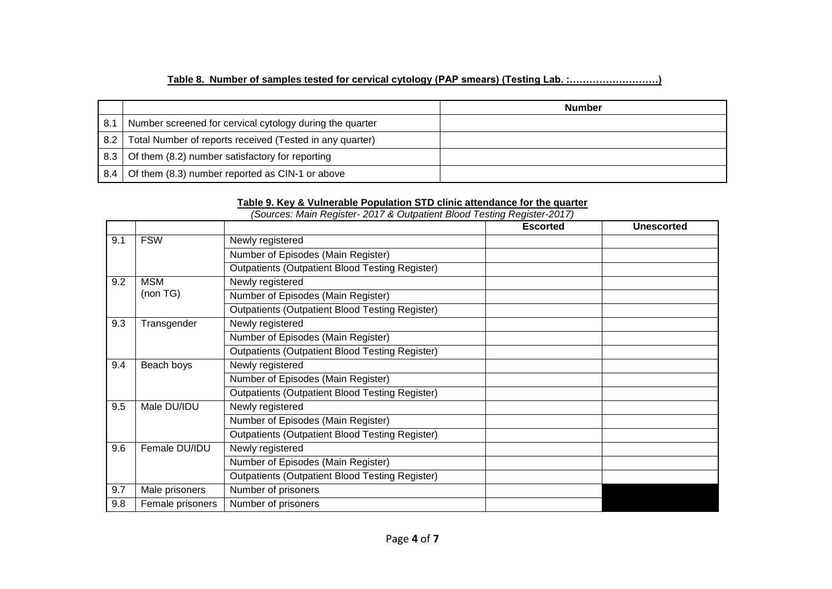# **Table 8. Number of samples tested for cervical cytology (PAP smears) (Testing Lab. :………………………)**

|       |                                                          | <b>Number</b> |
|-------|----------------------------------------------------------|---------------|
| 8.1   | Number screened for cervical cytology during the quarter |               |
| $8.2$ | Total Number of reports received (Tested in any quarter) |               |
| 8.3   | Of them (8.2) number satisfactory for reporting          |               |
| 8.4   | Of them (8.3) number reported as CIN-1 or above          |               |

# **Table 9. Key & Vulnerable Population STD clinic attendance for the quarter**

|     |                  |                                                        | <b>Escorted</b> | <b>Unescorted</b> |
|-----|------------------|--------------------------------------------------------|-----------------|-------------------|
| 9.1 | <b>FSW</b>       | Newly registered                                       |                 |                   |
|     |                  | Number of Episodes (Main Register)                     |                 |                   |
|     |                  | <b>Outpatients (Outpatient Blood Testing Register)</b> |                 |                   |
| 9.2 | MSM              | Newly registered                                       |                 |                   |
|     | (non TG)         | Number of Episodes (Main Register)                     |                 |                   |
|     |                  | <b>Outpatients (Outpatient Blood Testing Register)</b> |                 |                   |
| 9.3 | Transgender      | Newly registered                                       |                 |                   |
|     |                  | Number of Episodes (Main Register)                     |                 |                   |
|     |                  | <b>Outpatients (Outpatient Blood Testing Register)</b> |                 |                   |
| 9.4 | Beach boys       | Newly registered                                       |                 |                   |
|     |                  | Number of Episodes (Main Register)                     |                 |                   |
|     |                  | <b>Outpatients (Outpatient Blood Testing Register)</b> |                 |                   |
| 9.5 | Male DU/IDU      | Newly registered                                       |                 |                   |
|     |                  | Number of Episodes (Main Register)                     |                 |                   |
|     |                  | <b>Outpatients (Outpatient Blood Testing Register)</b> |                 |                   |
| 9.6 | Female DU/IDU    | Newly registered                                       |                 |                   |
|     |                  | Number of Episodes (Main Register)                     |                 |                   |
|     |                  | <b>Outpatients (Outpatient Blood Testing Register)</b> |                 |                   |
| 9.7 | Male prisoners   | Number of prisoners                                    |                 |                   |
| 9.8 | Female prisoners | Number of prisoners                                    |                 |                   |

*(Sources: Main Register- 2017 & Outpatient Blood Testing Register-2017)*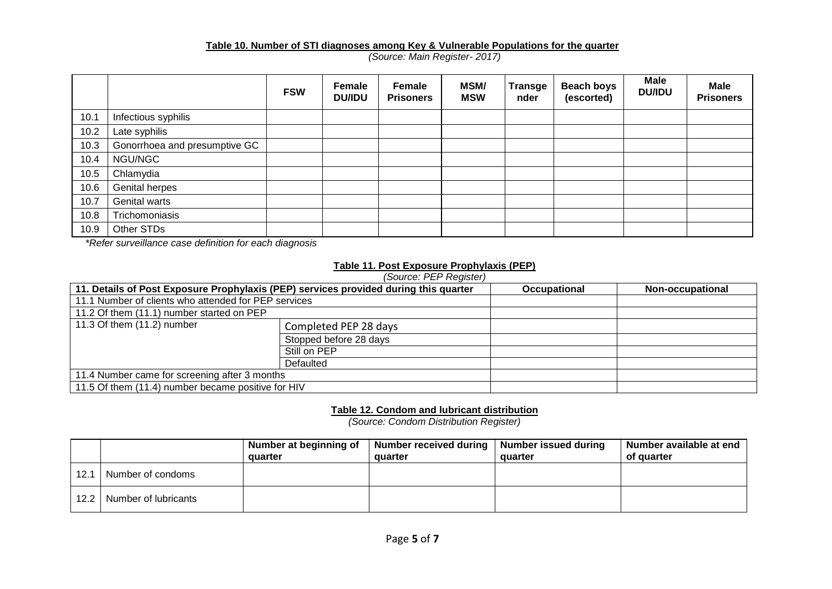#### **Table 10. Number of STI diagnoses among Key & Vulnerable Populations for the quarter**

*(Source: Main Register- 2017)*

|      |                               | <b>FSW</b> | Female<br><b>DU/IDU</b> | Female<br><b>Prisoners</b> | MSM/<br><b>MSW</b> | <b>Transge</b><br>nder | <b>Beach boys</b><br>(escorted) | <b>Male</b><br><b>DU/IDU</b> | <b>Male</b><br><b>Prisoners</b> |
|------|-------------------------------|------------|-------------------------|----------------------------|--------------------|------------------------|---------------------------------|------------------------------|---------------------------------|
| 10.1 | Infectious syphilis           |            |                         |                            |                    |                        |                                 |                              |                                 |
| 10.2 | Late syphilis                 |            |                         |                            |                    |                        |                                 |                              |                                 |
| 10.3 | Gonorrhoea and presumptive GC |            |                         |                            |                    |                        |                                 |                              |                                 |
| 10.4 | NGU/NGC                       |            |                         |                            |                    |                        |                                 |                              |                                 |
| 10.5 | Chlamydia                     |            |                         |                            |                    |                        |                                 |                              |                                 |
| 10.6 | Genital herpes                |            |                         |                            |                    |                        |                                 |                              |                                 |
| 10.7 | Genital warts                 |            |                         |                            |                    |                        |                                 |                              |                                 |
| 10.8 | Trichomoniasis                |            |                         |                            |                    |                        |                                 |                              |                                 |
| 10.9 | Other STDs                    |            |                         |                            |                    |                        |                                 |                              |                                 |

*\*Refer surveillance case definition for each diagnosis*

### **Table 11. Post Exposure Prophylaxis (PEP)**

| (Source: PEP Register)                               |                                                                                      |                     |                  |  |  |  |  |  |
|------------------------------------------------------|--------------------------------------------------------------------------------------|---------------------|------------------|--|--|--|--|--|
|                                                      | 11. Details of Post Exposure Prophylaxis (PEP) services provided during this quarter | <b>Occupational</b> | Non-occupational |  |  |  |  |  |
| 11.1 Number of clients who attended for PEP services |                                                                                      |                     |                  |  |  |  |  |  |
| 11.2 Of them (11.1) number started on PEP            |                                                                                      |                     |                  |  |  |  |  |  |
| 11.3 Of them (11.2) number                           | Completed PEP 28 days                                                                |                     |                  |  |  |  |  |  |
|                                                      | Stopped before 28 days                                                               |                     |                  |  |  |  |  |  |
|                                                      | Still on PEP                                                                         |                     |                  |  |  |  |  |  |
|                                                      | Defaulted                                                                            |                     |                  |  |  |  |  |  |
| 11.4 Number came for screening after 3 months        |                                                                                      |                     |                  |  |  |  |  |  |
| 11.5 Of them (11.4) number became positive for HIV   |                                                                                      |                     |                  |  |  |  |  |  |

**Table 12. Condom and lubricant distribution**

*(Source: Condom Distribution Register)*

|      |                             | Number at beginning of<br>quarter | Number received during   Number issued during<br>quarter | quarter | Number available at end<br>of quarter |
|------|-----------------------------|-----------------------------------|----------------------------------------------------------|---------|---------------------------------------|
| 12.1 | Number of condoms           |                                   |                                                          |         |                                       |
|      | 12.2   Number of lubricants |                                   |                                                          |         |                                       |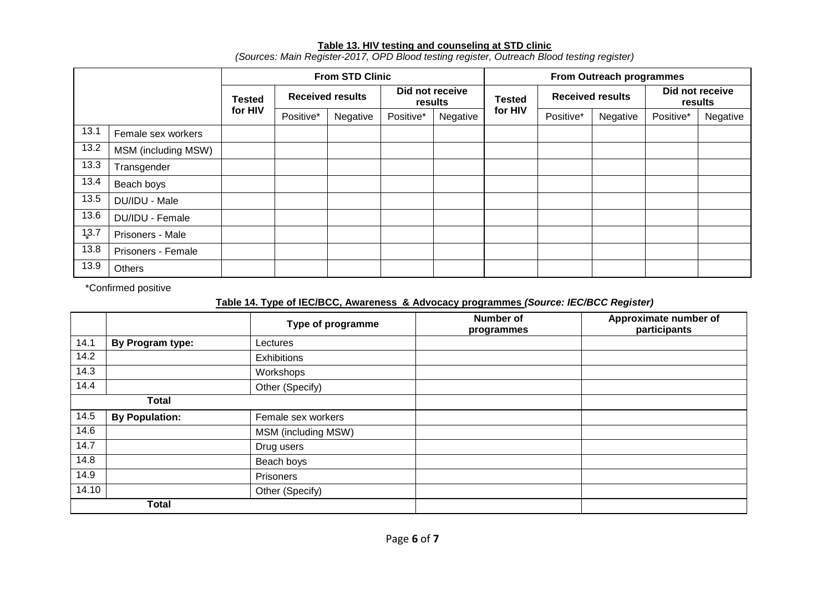# **Table 13. HIV testing and counseling at STD clinic**

|       |                     | <b>From STD Clinic</b> |                         |          |                            | From Outreach programmes |               |                         |          |                            |          |
|-------|---------------------|------------------------|-------------------------|----------|----------------------------|--------------------------|---------------|-------------------------|----------|----------------------------|----------|
|       |                     | Tested<br>for HIV      | <b>Received results</b> |          | Did not receive<br>results |                          | <b>Tested</b> | <b>Received results</b> |          | Did not receive<br>results |          |
|       |                     |                        | Positive*               | Negative | Positive*                  | Negative                 | for HIV       | Positive*               | Negative | Positive*                  | Negative |
| 13.1  | Female sex workers  |                        |                         |          |                            |                          |               |                         |          |                            |          |
| 13.2  | MSM (including MSW) |                        |                         |          |                            |                          |               |                         |          |                            |          |
| 13.3  | Transgender         |                        |                         |          |                            |                          |               |                         |          |                            |          |
| 13.4  | Beach boys          |                        |                         |          |                            |                          |               |                         |          |                            |          |
| 13.5  | DU/IDU - Male       |                        |                         |          |                            |                          |               |                         |          |                            |          |
| 13.6  | DU/IDU - Female     |                        |                         |          |                            |                          |               |                         |          |                            |          |
| 1,3.7 | Prisoners - Male    |                        |                         |          |                            |                          |               |                         |          |                            |          |
| 13.8  | Prisoners - Female  |                        |                         |          |                            |                          |               |                         |          |                            |          |
| 13.9  | <b>Others</b>       |                        |                         |          |                            |                          |               |                         |          |                            |          |

*(Sources: Main Register-2017, OPD Blood testing register, Outreach Blood testing register)*

\*Confirmed positive

# **Table 14. Type of IEC/BCC, Awareness & Advocacy programmes** *(Source: IEC/BCC Register)*

|              |                       | Type of programme   | <b>Number of</b><br>programmes | Approximate number of<br>participants |
|--------------|-----------------------|---------------------|--------------------------------|---------------------------------------|
| 14.1         | By Program type:      | Lectures            |                                |                                       |
| 14.2         |                       | Exhibitions         |                                |                                       |
| 14.3         |                       | Workshops           |                                |                                       |
| 14.4         |                       | Other (Specify)     |                                |                                       |
|              | <b>Total</b>          |                     |                                |                                       |
| 14.5         | <b>By Population:</b> | Female sex workers  |                                |                                       |
| 14.6         |                       | MSM (including MSW) |                                |                                       |
| 14.7         |                       | Drug users          |                                |                                       |
| 14.8         |                       | Beach boys          |                                |                                       |
| 14.9         |                       | Prisoners           |                                |                                       |
| 14.10        |                       | Other (Specify)     |                                |                                       |
| <b>Total</b> |                       |                     |                                |                                       |